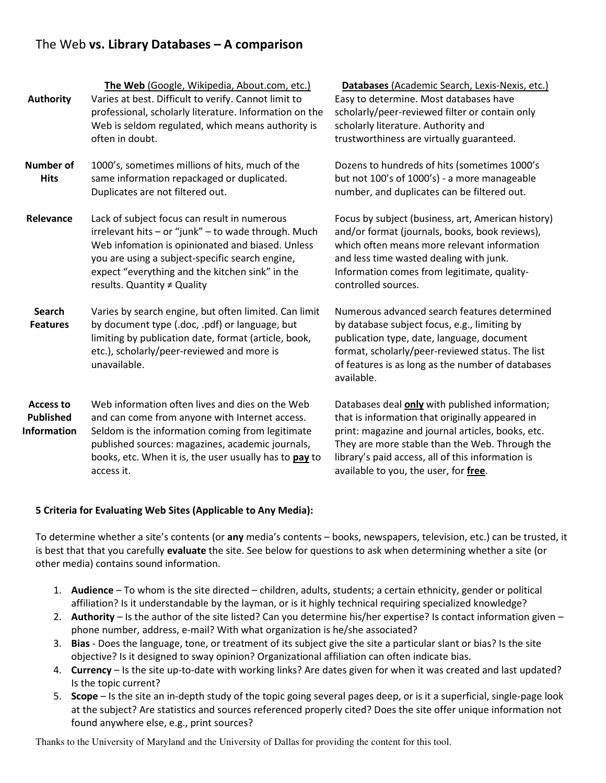# The Web vs. Library Databases – A comparison

| <b>Authority</b>                                    | The Web (Google, Wikipedia, About.com, etc.)<br>Varies at best. Difficult to verify. Cannot limit to<br>professional, scholarly literature. Information on the<br>Web is seldom regulated, which means authority is<br>often in doubt.                                                       | Databases (Academic Search, Lexis-Nexis, etc.)<br>Easy to determine. Most databases have<br>scholarly/peer-reviewed filter or contain only<br>scholarly literature. Authority and<br>trustworthiness are virtually guaranteed.                                                                          |  |
|-----------------------------------------------------|----------------------------------------------------------------------------------------------------------------------------------------------------------------------------------------------------------------------------------------------------------------------------------------------|---------------------------------------------------------------------------------------------------------------------------------------------------------------------------------------------------------------------------------------------------------------------------------------------------------|--|
| <b>Number of</b><br><b>Hits</b>                     | 1000's, sometimes millions of hits, much of the<br>same information repackaged or duplicated.<br>Duplicates are not filtered out.                                                                                                                                                            | Dozens to hundreds of hits (sometimes 1000's<br>but not 100's of 1000's) - a more manageable<br>number, and duplicates can be filtered out.                                                                                                                                                             |  |
| Relevance                                           | Lack of subject focus can result in numerous<br>irrelevant hits - or "junk" - to wade through. Much<br>Web infomation is opinionated and biased. Unless<br>you are using a subject-specific search engine,<br>expect "everything and the kitchen sink" in the<br>results. Quantity ≠ Quality | Focus by subject (business, art, American history)<br>and/or format (journals, books, book reviews),<br>which often means more relevant information<br>and less time wasted dealing with junk.<br>Information comes from legitimate, quality-<br>controlled sources.                                    |  |
| <b>Search</b><br><b>Features</b>                    | Varies by search engine, but often limited. Can limit<br>by document type (.doc, .pdf) or language, but<br>limiting by publication date, format (article, book,<br>etc.), scholarly/peer-reviewed and more is<br>unavailable.                                                                | Numerous advanced search features determined<br>by database subject focus, e.g., limiting by<br>publication type, date, language, document<br>format, scholarly/peer-reviewed status. The list<br>of features is as long as the number of databases<br>available.                                       |  |
| Access to<br><b>Published</b><br><b>Information</b> | Web information often lives and dies on the Web<br>and can come from anyone with Internet access.<br>Seldom is the information coming from legitimate<br>published sources: magazines, academic journals,<br>books, etc. When it is, the user usually has to pay to<br>access it.            | Databases deal only with published information;<br>that is information that originally appeared in<br>print: magazine and journal articles, books, etc.<br>They are more stable than the Web. Through the<br>library's paid access, all of this information is<br>available to you, the user, for free. |  |

## 5 Criteria for Evaluating Web Sites (Applicable to Any Media):

To determine whether a site's contents (or any media's contents – books, newspapers, television, etc.) can be trusted, it is best that that you carefully evaluate the site. See below for questions to ask when determining whether a site (or other media) contains sound information.

- 1. Audience To whom is the site directed children, adults, students; a certain ethnicity, gender or political affiliation? Is it understandable by the layman, or is it highly technical requiring specialized knowledge?
- 2. Authority Is the author of the site listed? Can you determine his/her expertise? Is contact information given phone number, address, e-mail? With what organization is he/she associated?
- 3. Bias Does the language, tone, or treatment of its subject give the site a particular slant or bias? Is the site objective? Is it designed to sway opinion? Organizational affiliation can often indicate bias.
- 4. Currency Is the site up-to-date with working links? Are dates given for when it was created and last updated? Is the topic current?
- 5. Scope Is the site an in-depth study of the topic going several pages deep, or is it a superficial, single-page look at the subject? Are statistics and sources referenced properly cited? Does the site offer unique information not found anywhere else, e.g., print sources?

Thanks to the University of Maryland and the University of Dallas for providing the content for this tool.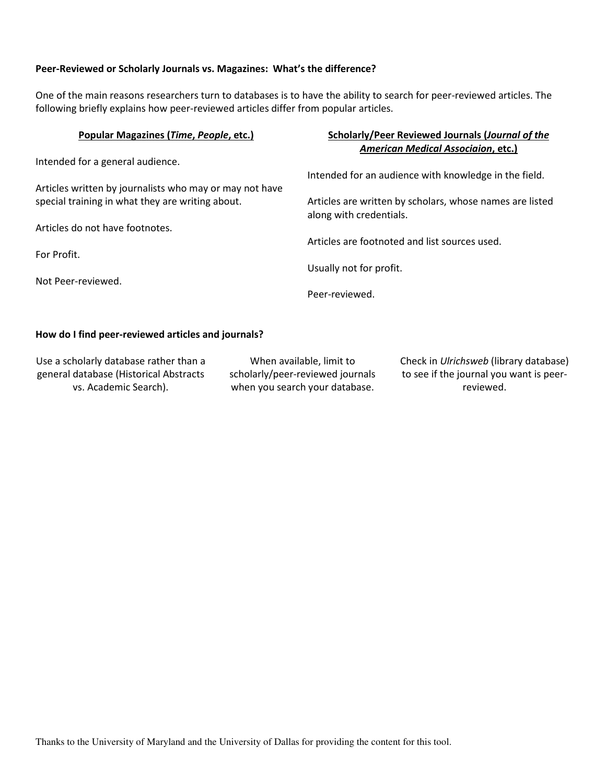#### Peer-Reviewed or Scholarly Journals vs. Magazines: What's the difference?

One of the main reasons researchers turn to databases is to have the ability to search for peer-reviewed articles. The following briefly explains how peer-reviewed articles differ from popular articles.

| Popular Magazines (Time, People, etc.)                  | Scholarly/Peer Reviewed Journals (Journal of the                                    |
|---------------------------------------------------------|-------------------------------------------------------------------------------------|
|                                                         | <b>American Medical Associaion, etc.)</b>                                           |
| Intended for a general audience.                        |                                                                                     |
|                                                         | Intended for an audience with knowledge in the field.                               |
| Articles written by journalists who may or may not have |                                                                                     |
| special training in what they are writing about.        | Articles are written by scholars, whose names are listed<br>along with credentials. |
| Articles do not have footnotes.                         |                                                                                     |
|                                                         | Articles are footnoted and list sources used.                                       |
| For Profit.                                             |                                                                                     |
|                                                         | Usually not for profit.                                                             |
| Not Peer-reviewed.                                      |                                                                                     |
|                                                         | Peer-reviewed.                                                                      |
|                                                         |                                                                                     |

#### How do I find peer-reviewed articles and journals?

Use a scholarly database rather than a general database (Historical Abstracts vs. Academic Search).

When available, limit to scholarly/peer-reviewed journals when you search your database.

Check in Ulrichsweb (library database) to see if the journal you want is peerreviewed.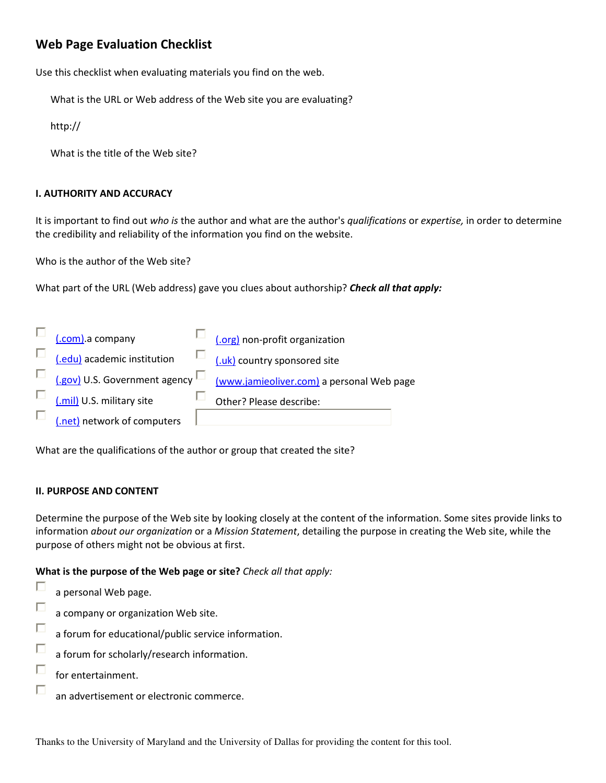# Web Page Evaluation Checklist

Use this checklist when evaluating materials you find on the web.

What is the URL or Web address of the Web site you are evaluating?

http://

What is the title of the Web site?

## I. AUTHORITY AND ACCURACY

It is important to find out who is the author and what are the author's qualifications or expertise, in order to determine the credibility and reliability of the information you find on the website.

Who is the author of the Web site?

What part of the URL (Web address) gave you clues about authorship? Check all that apply:

| (.com) a company                        | (.org) non-profit organization            |
|-----------------------------------------|-------------------------------------------|
| (.edu) academic institution             | (.uk) country sponsored site              |
| (.gov) U.S. Government agency $\square$ | (www.jamieoliver.com) a personal Web page |
| (.mil) U.S. military site               | Other? Please describe:                   |
| (.net) network of computers             |                                           |

What are the qualifications of the author or group that created the site?

### II. PURPOSE AND CONTENT

Determine the purpose of the Web site by looking closely at the content of the information. Some sites provide links to information about our organization or a Mission Statement, detailing the purpose in creating the Web site, while the purpose of others might not be obvious at first.

What is the purpose of the Web page or site? Check all that apply:

- П a personal Web page.
- П a company or organization Web site.
- a forum for educational/public service information.
- a forum for scholarly/research information.
- П for entertainment.
- П an advertisement or electronic commerce.